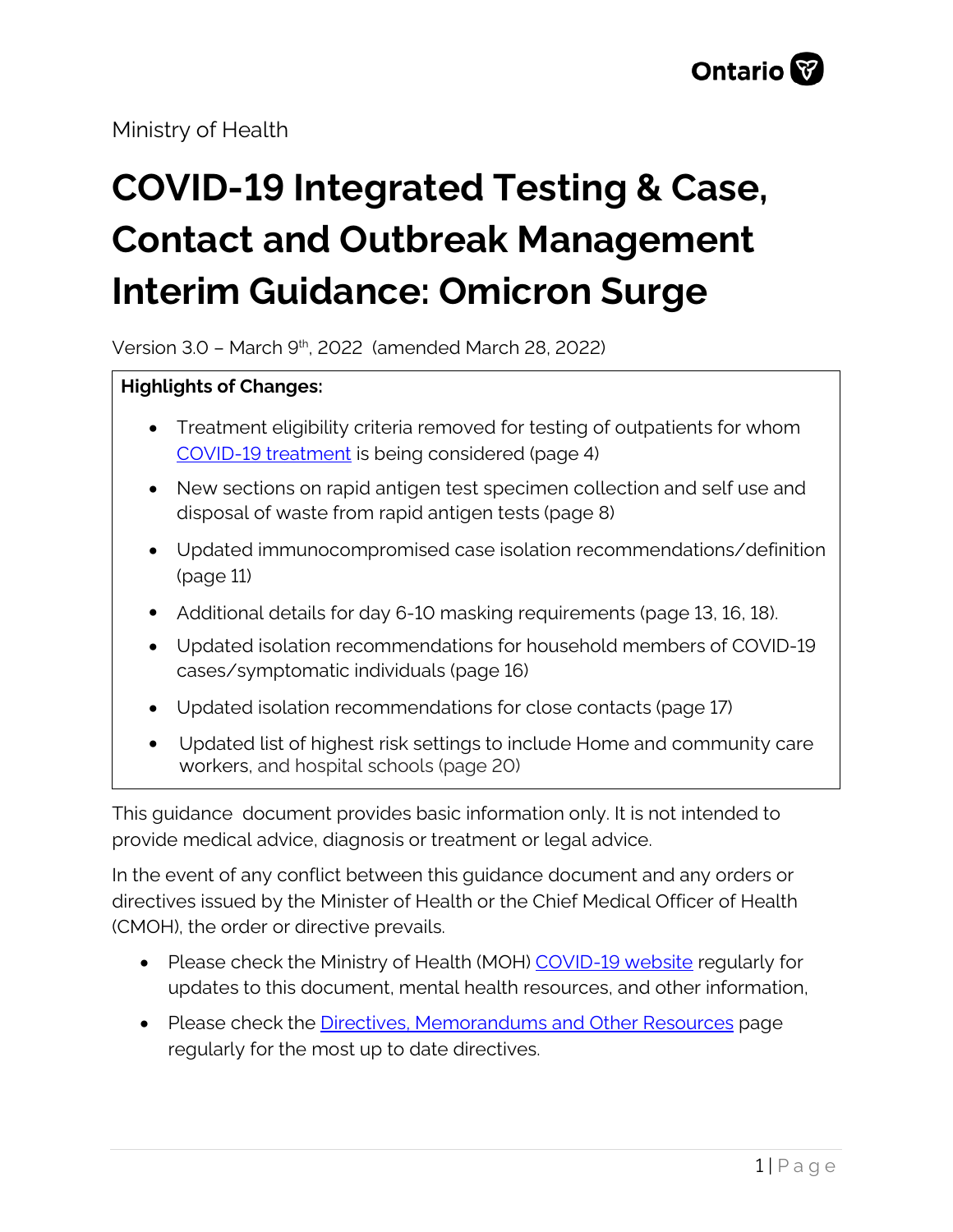Ministry of Health

# **COVID-19 Integrated Testing & Case, Contact and Outbreak Management Interim Guidance: Omicron Surge**

Version 3.0 – March 9th , 2022 (amended March 28, 2022)

#### **Highlights of Changes:**

- Treatment eligibility criteria removed for testing of outpatients for whom [COVID-19 treatment](https://covid-19.ontario.ca/covid-19-antiviral-treatment) is being considered (page 4)
- New sections on rapid antigen test specimen collection and self use and disposal of waste from rapid antigen tests (page 8)
- Updated immunocompromised case isolation recommendations/definition (page 11)
- Additional details for day 6-10 masking requirements (page 13, 16, 18).
- Updated isolation recommendations for household members of COVID-19 cases/symptomatic individuals (page 16)
- Updated isolation recommendations for close contacts (page 17)
- Updated list of highest risk settings to include Home and community care workers, and hospital schools (page 20)

This guidance document provides basic information only. It is not intended to provide medical advice, diagnosis or treatment or legal advice.

In the event of any conflict between this guidance document and any orders or directives issued by the Minister of Health or the Chief Medical Officer of Health (CMOH), the order or directive prevails.

- Please check the Ministry of Health (MOH) [COVID-19 website](http://www.health.gov.on.ca/en/pro/programs/publichealth/coronavirus/2019_guidance.aspx) regularly for updates to this document, mental health resources, and other information,
- Please check the *Directives, Memorandums and Other Resources* page regularly for the most up to date directives.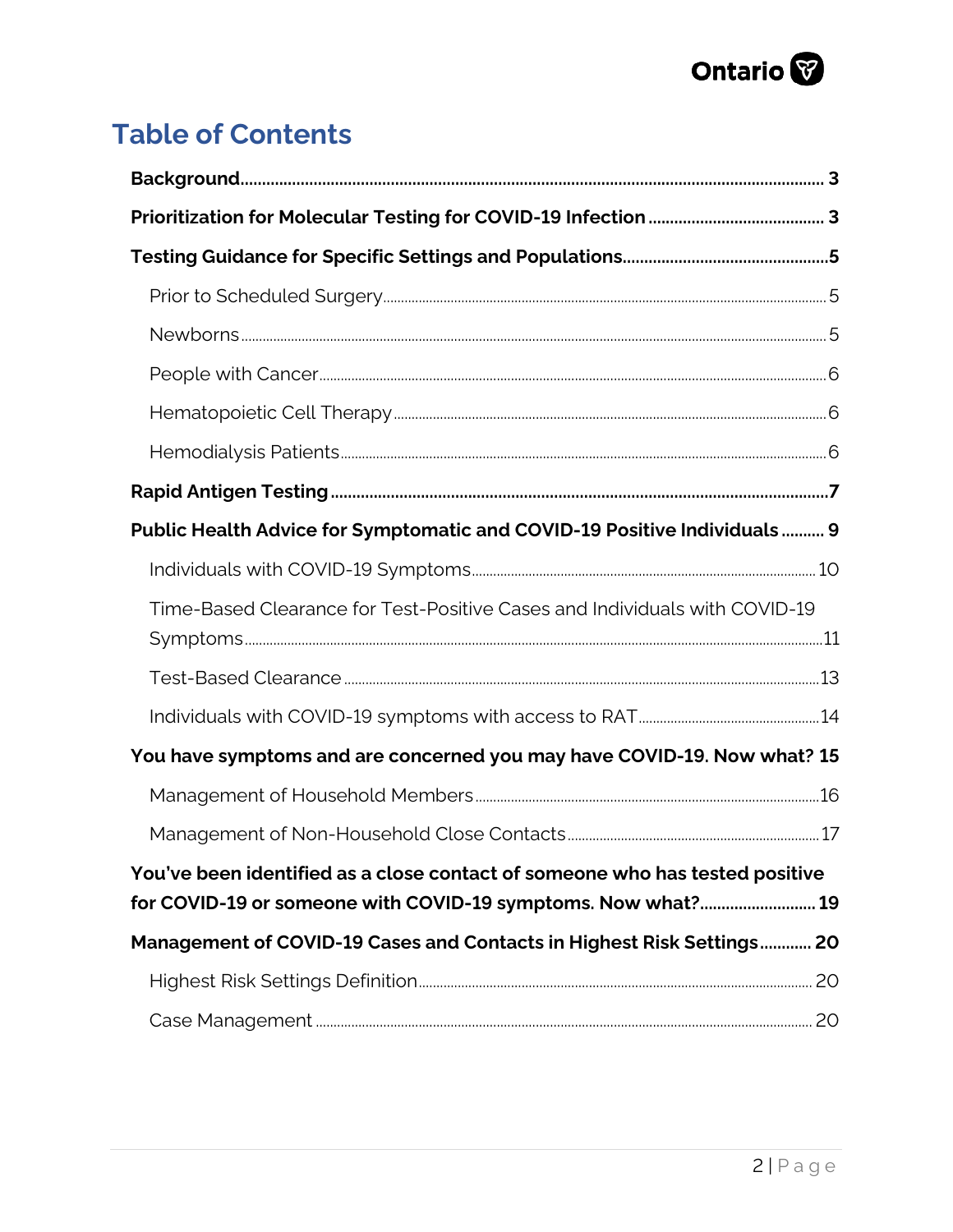

# **Table of Contents**

<span id="page-1-0"></span>

| Public Health Advice for Symptomatic and COVID-19 Positive Individuals  9    |  |  |
|------------------------------------------------------------------------------|--|--|
|                                                                              |  |  |
| Time-Based Clearance for Test-Positive Cases and Individuals with COVID-19   |  |  |
|                                                                              |  |  |
|                                                                              |  |  |
| You have symptoms and are concerned you may have COVID-19. Now what? 15      |  |  |
|                                                                              |  |  |
|                                                                              |  |  |
| You've been identified as a close contact of someone who has tested positive |  |  |
| for COVID-19 or someone with COVID-19 symptoms. Now what? 19                 |  |  |
| Management of COVID-19 Cases and Contacts in Highest Risk Settings 20        |  |  |
|                                                                              |  |  |
|                                                                              |  |  |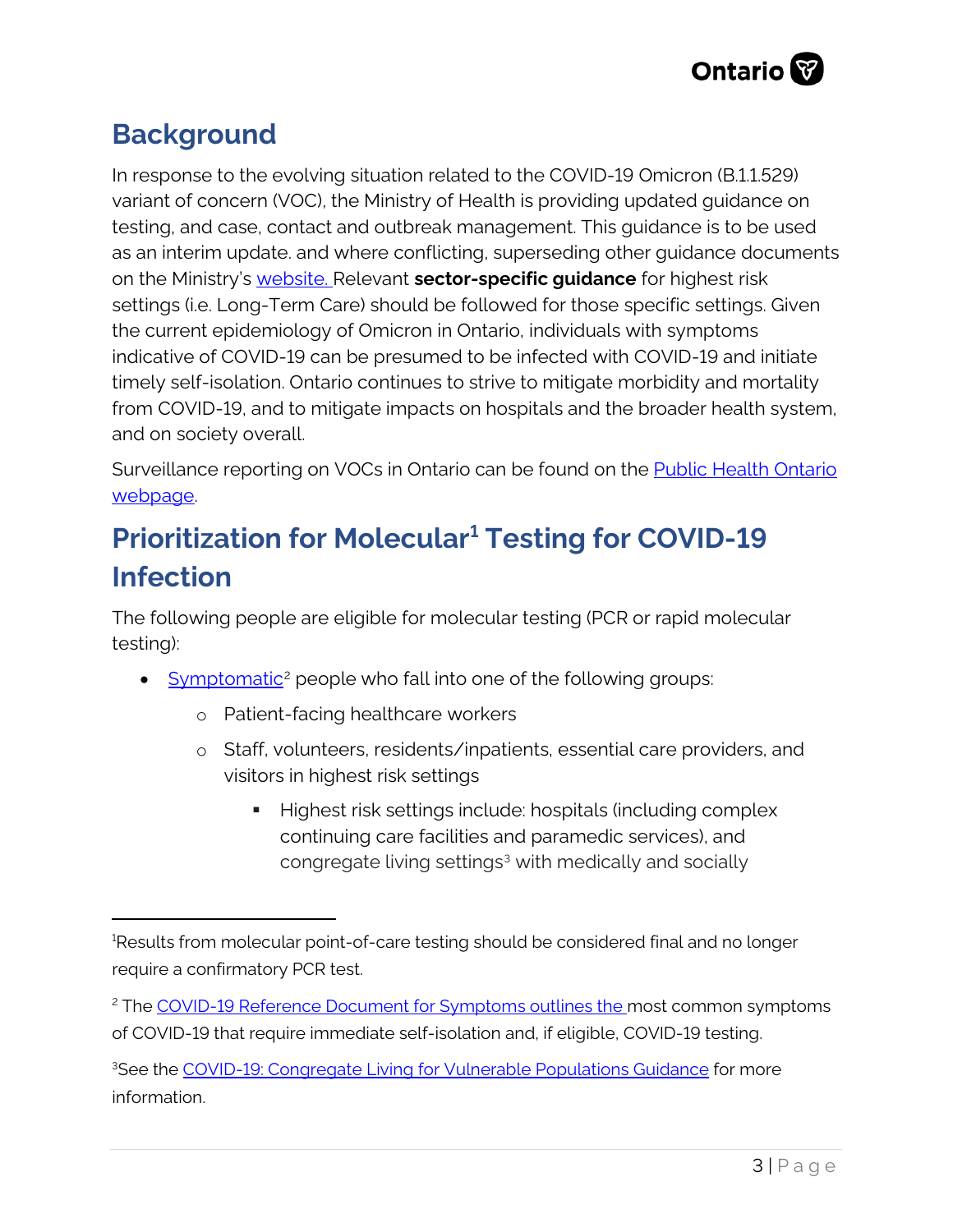

# **Background**

In response to the evolving situation related to the COVID-19 Omicron (B.1.1.529) variant of concern (VOC), the Ministry of Health is providing updated guidance on testing, and case, contact and outbreak management. This guidance is to be used as an interim update. and where conflicting, superseding other guidance documents on the Ministry's [website.](https://www.health.gov.on.ca/en/pro/programs/publichealth/coronavirus/2019_guidance.aspx) Relevant **sector-specific guidance** for highest risk settings (i.e. Long-Term Care) should be followed for those specific settings. Given the current epidemiology of Omicron in Ontario, individuals with symptoms indicative of COVID-19 can be presumed to be infected with COVID-19 and initiate timely self-isolation. Ontario continues to strive to mitigate morbidity and mortality from COVID-19, and to mitigate impacts on hospitals and the broader health system, and on society overall.

Surveillance reporting on VOCs in Ontario can be found on the **Public Health Ontario** [webpage.](https://www.publichealthontario.ca/en/data-and-analysis/infectious-disease/covid-19-data-surveillance)

# <span id="page-2-0"></span>**Prioritization for Molecular[1](#page-2-1) Testing for COVID-19 Infection**

The following people are eligible for molecular testing (PCR or rapid molecular testing):

- [Symptomatic](https://www.health.gov.on.ca/en/pro/programs/publichealth/coronavirus/docs/2019_reference_doc_symptoms.pdf)<sup>[2](#page-2-2)</sup> people who fall into one of the following groups:
	- o Patient-facing healthcare workers
	- o Staff, volunteers, residents/inpatients, essential care providers, and visitors in highest risk settings
		- Highest risk settings include: hospitals (including complex continuing care facilities and paramedic services), and congregate living settings $3$  with medically and socially

<span id="page-2-3"></span><sup>3</sup>See the [COVID-19: Congregate Living for Vulnerable Populations Guidance](https://www.health.gov.on.ca/en/pro/programs/publichealth/coronavirus/docs/2019_congregate_living_guidance.pdf#page=4) for more information.

<span id="page-2-1"></span><sup>&</sup>lt;sup>1</sup>Results from molecular point-of-care testing should be considered final and no longer require a confirmatory PCR test.

<span id="page-2-2"></span><sup>&</sup>lt;sup>2</sup> The [COVID-19 Reference Document for Symptoms](http://www.health.gov.on.ca/en/pro/programs/publichealth/coronavirus/docs/2019_reference_doc_symptoms.pdf) outlines the most common symptoms of COVID-19 that require immediate self-isolation and, if eligible, COVID-19 testing.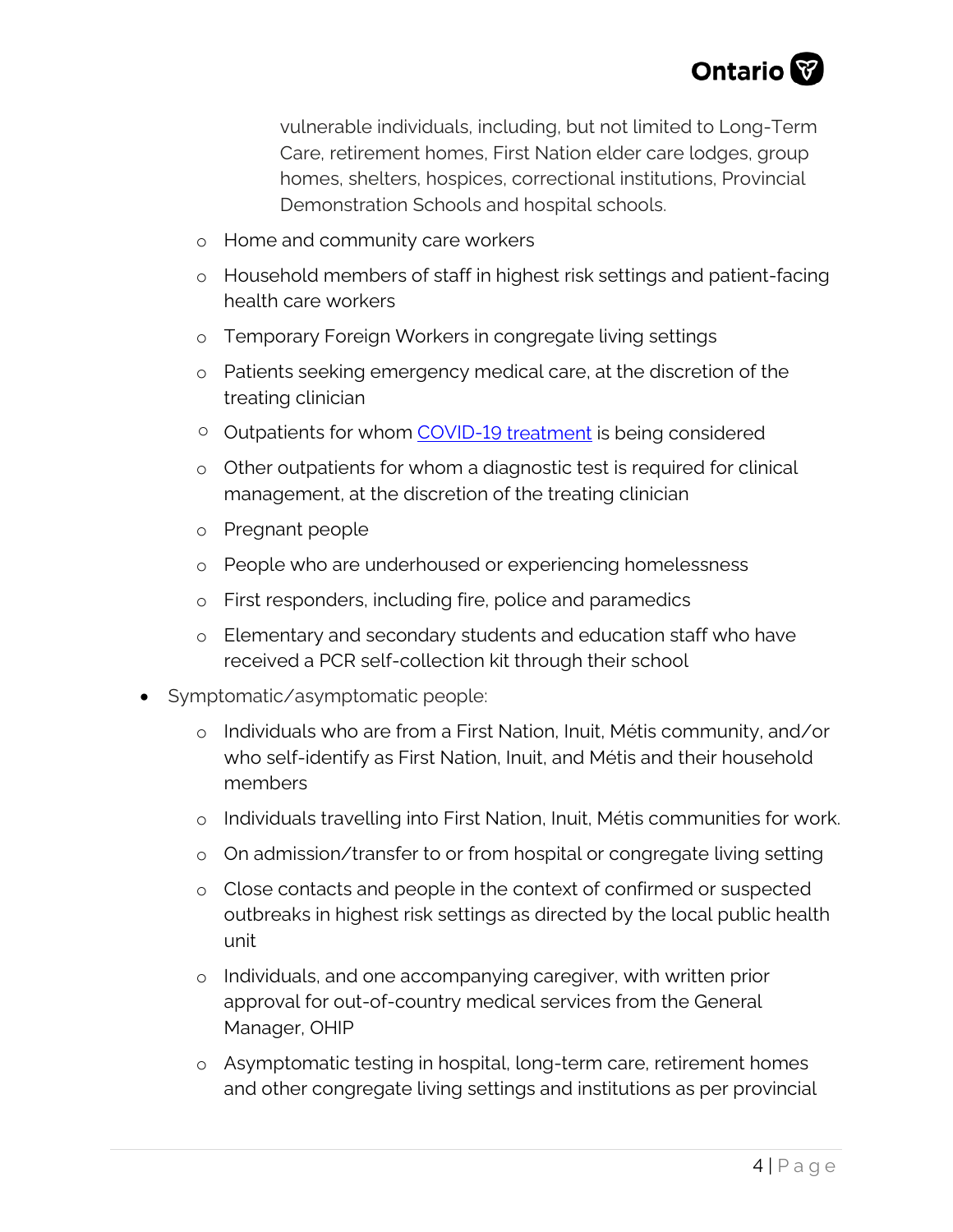vulnerable individuals, including, but not limited to Long-Term Care, retirement homes, First Nation elder care lodges, group homes, shelters, hospices, correctional institutions, Provincial Demonstration Schools and hospital schools.

- o Home and community care workers
- o Household members of staff in highest risk settings and patient-facing health care workers
- o Temporary Foreign Workers in congregate living settings
- o Patients seeking emergency medical care, at the discretion of the treating clinician
- o Outpatients for whom [COVID-19 treatment](https://covid-19.ontario.ca/covid-19-antiviral-treatment) is being considered
- o Other outpatients for whom a diagnostic test is required for clinical management, at the discretion of the treating clinician
- o Pregnant people
- o People who are underhoused or experiencing homelessness
- o First responders, including fire, police and paramedics
- o Elementary and secondary students and education staff who have received a PCR self-collection kit through their school
- Symptomatic/asymptomatic people:
	- o Individuals who are from a First Nation, Inuit, Métis community, and/or who self-identify as First Nation, Inuit, and Métis and their household members
	- o Individuals travelling into First Nation, Inuit, Métis communities for work.
	- o On admission/transfer to or from hospital or congregate living setting
	- o Close contacts and people in the context of confirmed or suspected outbreaks in highest risk settings as directed by the local public health unit
	- o Individuals, and one accompanying caregiver, with written prior approval for out-of-country medical services from the General Manager, OHIP
	- o Asymptomatic testing in hospital, long-term care, retirement homes and other congregate living settings and institutions as per provincial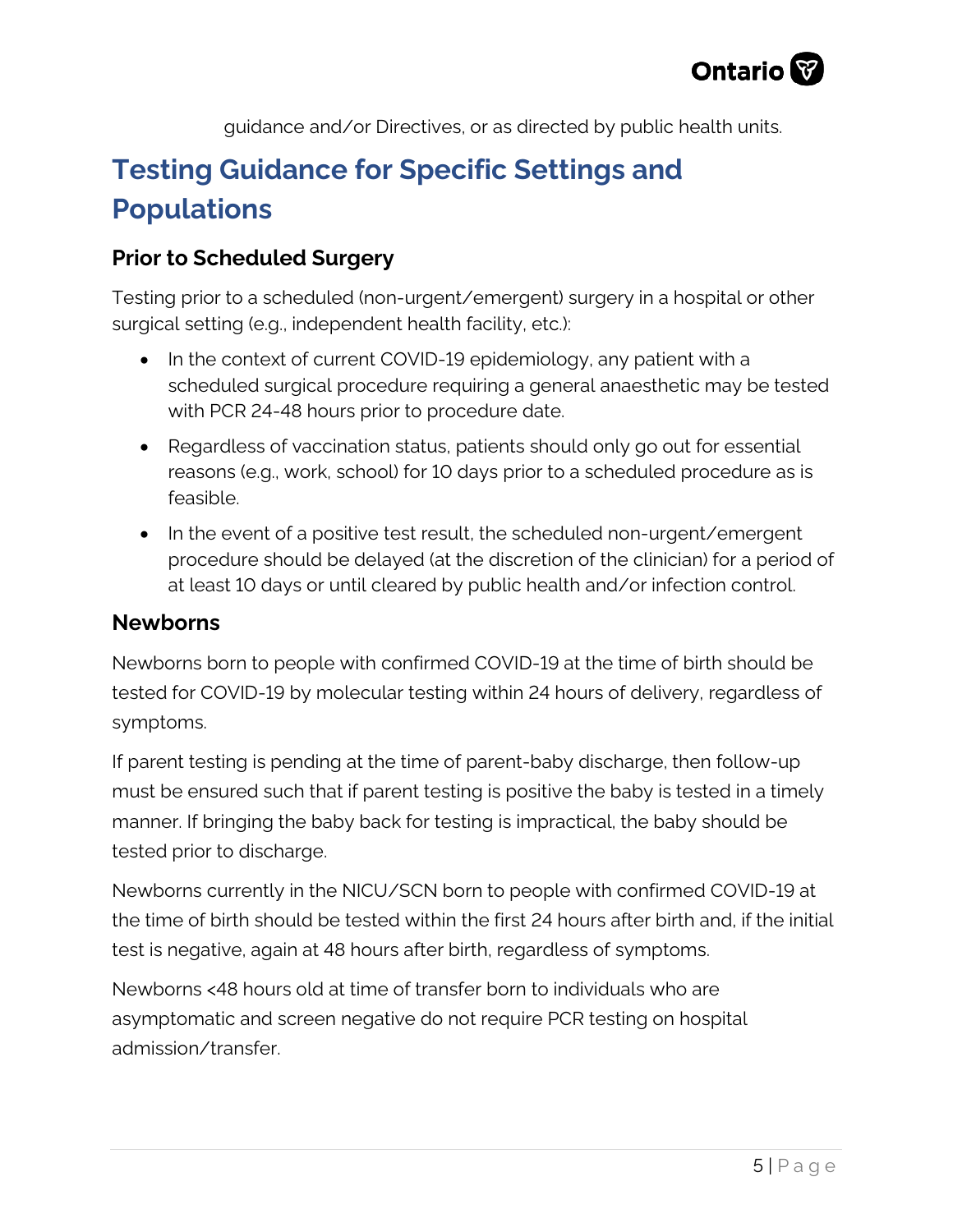

guidance and/or Directives, or as directed by public health units.

# <span id="page-4-0"></span>**Testing Guidance for Specific Settings and Populations**

### <span id="page-4-1"></span>**Prior to Scheduled Surgery**

Testing prior to a scheduled (non-urgent/emergent) surgery in a hospital or other surgical setting (e.g., independent health facility, etc.):

- In the context of current COVID-19 epidemiology, any patient with a scheduled surgical procedure requiring a general anaesthetic may be tested with PCR 24-48 hours prior to procedure date.
- Regardless of vaccination status, patients should only go out for essential reasons (e.g., work, school) for 10 days prior to a scheduled procedure as is feasible.
- In the event of a positive test result, the scheduled non-urgent/emergent procedure should be delayed (at the discretion of the clinician) for a period of at least 10 days or until cleared by public health and/or infection control.

#### <span id="page-4-2"></span>**Newborns**

Newborns born to people with confirmed COVID-19 at the time of birth should be tested for COVID-19 by molecular testing within 24 hours of delivery, regardless of symptoms.

If parent testing is pending at the time of parent-baby discharge, then follow-up must be ensured such that if parent testing is positive the baby is tested in a timely manner. If bringing the baby back for testing is impractical, the baby should be tested prior to discharge.

Newborns currently in the NICU/SCN born to people with confirmed COVID-19 at the time of birth should be tested within the first 24 hours after birth and, if the initial test is negative, again at 48 hours after birth, regardless of symptoms.

<span id="page-4-3"></span>Newborns <48 hours old at time of transfer born to individuals who are asymptomatic and screen negative do not require PCR testing on hospital admission/transfer.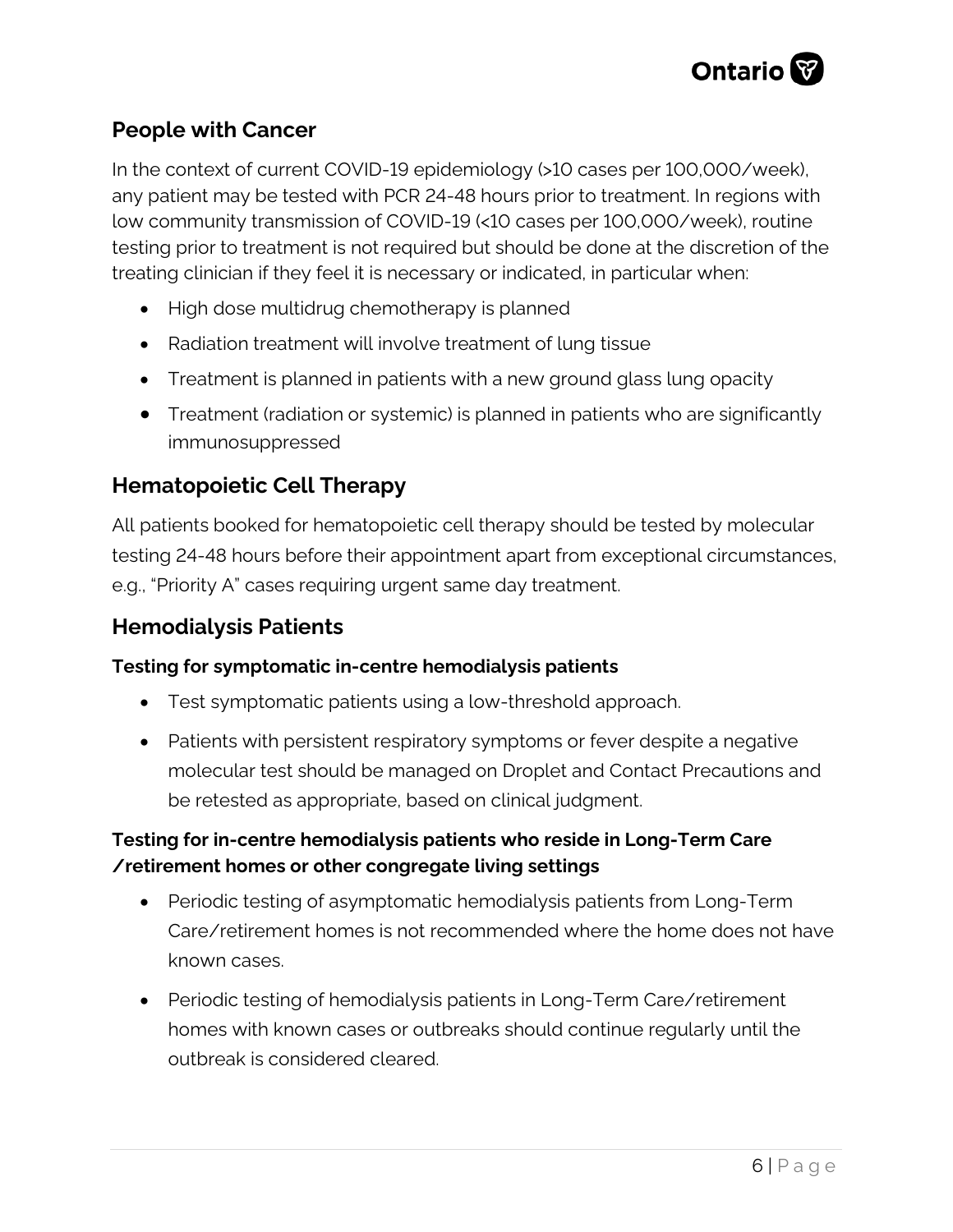

### **People with Cancer**

In the context of current COVID-19 epidemiology (>10 cases per 100,000/week), any patient may be tested with PCR 24-48 hours prior to treatment. In regions with low community transmission of COVID-19 (<10 cases per 100,000/week), routine testing prior to treatment is not required but should be done at the discretion of the treating clinician if they feel it is necessary or indicated, in particular when:

- High dose multidrug chemotherapy is planned
- Radiation treatment will involve treatment of lung tissue
- Treatment is planned in patients with a new ground glass lung opacity
- <span id="page-5-0"></span>• Treatment (radiation or systemic) is planned in patients who are significantly immunosuppressed

### **Hematopoietic Cell Therapy**

All patients booked for hematopoietic cell therapy should be tested by molecular testing 24-48 hours before their appointment apart from exceptional circumstances, e.g., "Priority A" cases requiring urgent same day treatment.

### <span id="page-5-1"></span>**Hemodialysis Patients**

#### **Testing for symptomatic in-centre hemodialysis patients**

- Test symptomatic patients using a low-threshold approach.
- Patients with persistent respiratory symptoms or fever despite a negative molecular test should be managed on Droplet and Contact Precautions and be retested as appropriate, based on clinical judgment.

#### **Testing for in-centre hemodialysis patients who reside in Long-Term Care /retirement homes or other congregate living settings**

- Periodic testing of asymptomatic hemodialysis patients from Long-Term Care/retirement homes is not recommended where the home does not have known cases.
- Periodic testing of hemodialysis patients in Long-Term Care/retirement homes with known cases or outbreaks should continue regularly until the outbreak is considered cleared.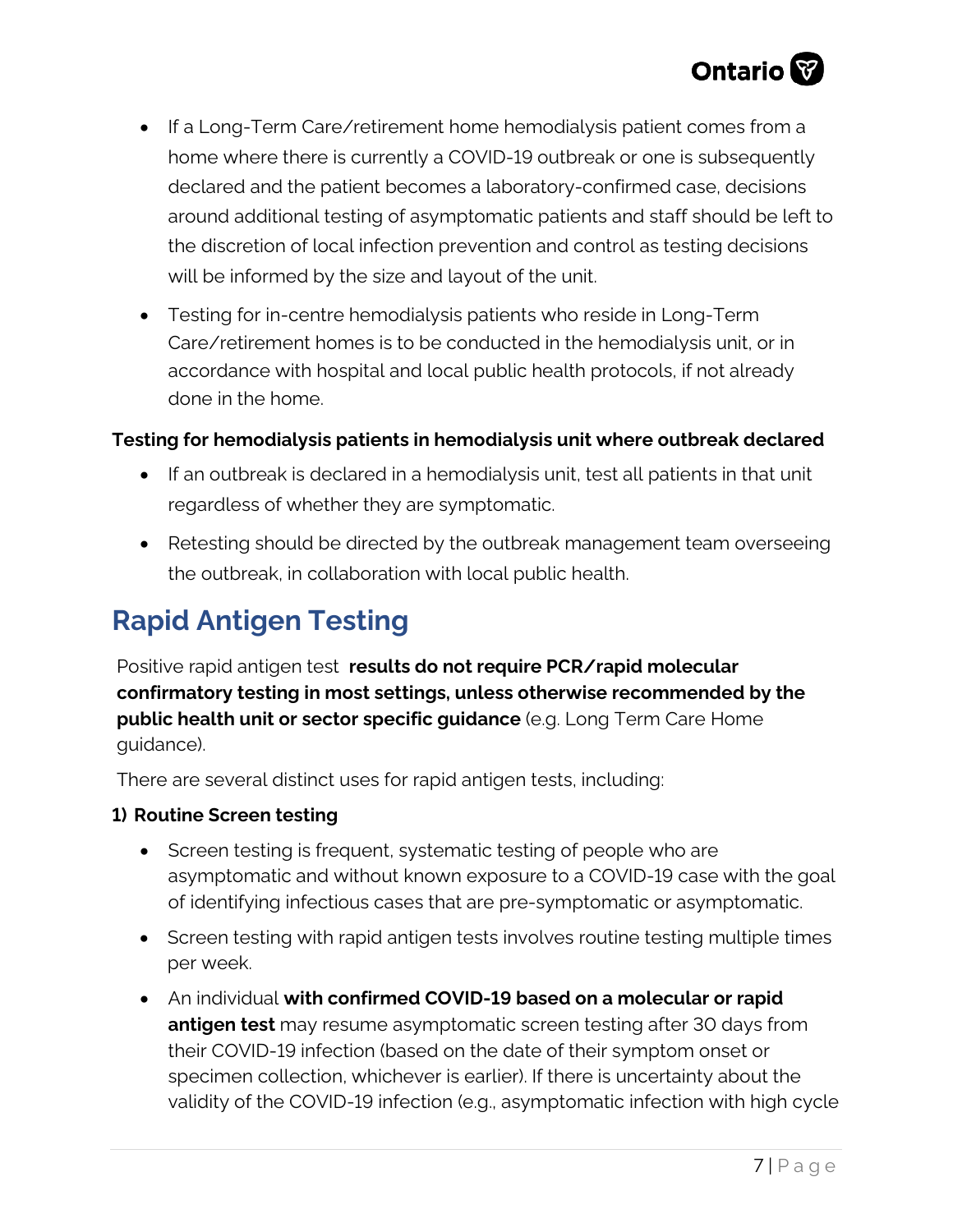

- If a Long-Term Care/retirement home hemodialysis patient comes from a home where there is currently a COVID-19 outbreak or one is subsequently declared and the patient becomes a laboratory-confirmed case, decisions around additional testing of asymptomatic patients and staff should be left to the discretion of local infection prevention and control as testing decisions will be informed by the size and layout of the unit.
- Testing for in-centre hemodialysis patients who reside in Long-Term Care/retirement homes is to be conducted in the hemodialysis unit, or in accordance with hospital and local public health protocols, if not already done in the home.

#### **Testing for hemodialysis patients in hemodialysis unit where outbreak declared**

- If an outbreak is declared in a hemodialysis unit, test all patients in that unit regardless of whether they are symptomatic.
- Retesting should be directed by the outbreak management team overseeing the outbreak, in collaboration with local public health.

# <span id="page-6-0"></span>**Rapid Antigen Testing**

Positive rapid antigen test **results do not require PCR/rapid molecular confirmatory testing in most settings, unless otherwise recommended by the public health unit or sector specific guidance** (e.g. Long Term Care Home guidance).

There are several distinct uses for rapid antigen tests, including:

#### **1) Routine Screen testing**

- Screen testing is frequent, systematic testing of people who are asymptomatic and without known exposure to a COVID-19 case with the goal of identifying infectious cases that are pre-symptomatic or asymptomatic.
- Screen testing with rapid antigen tests involves routine testing multiple times per week.
- An individual **with confirmed COVID-19 based on a molecular or rapid antigen test** may resume asymptomatic screen testing after 30 days from their COVID-19 infection (based on the date of their symptom onset or specimen collection, whichever is earlier). If there is uncertainty about the validity of the COVID-19 infection (e.g., asymptomatic infection with high cycle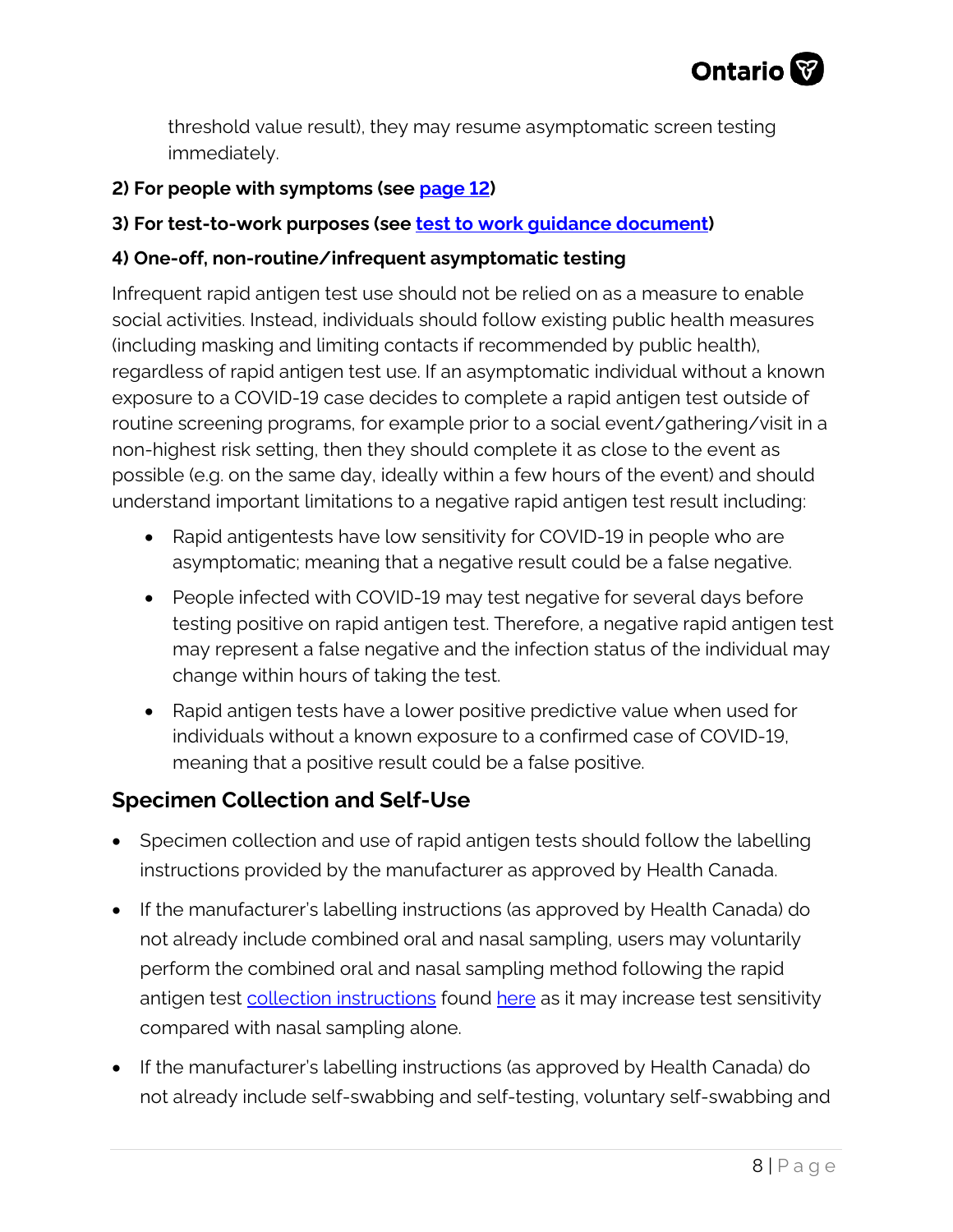

threshold value result), they may resume asymptomatic screen testing immediately.

#### **2) For people with symptoms (see [page 12\)](#page-11-0)**

#### **3) For test-to-work purposes (see [test to work guidance document\)](https://www.health.gov.on.ca/en/pro/programs/publichealth/coronavirus/docs/early_return%20_to_work.pdf#page=5)**

#### **4) One-off, non-routine/infrequent asymptomatic testing**

Infrequent rapid antigen test use should not be relied on as a measure to enable social activities. Instead, individuals should follow existing public health measures (including masking and limiting contacts if recommended by public health), regardless of rapid antigen test use. If an asymptomatic individual without a known exposure to a COVID-19 case decides to complete a rapid antigen test outside of routine screening programs, for example prior to a social event/gathering/visit in a non-highest risk setting, then they should complete it as close to the event as possible (e.g. on the same day, ideally within a few hours of the event) and should understand important limitations to a negative rapid antigen test result including:

- Rapid antigentests have low sensitivity for COVID-19 in people who are asymptomatic; meaning that a negative result could be a false negative.
- People infected with COVID-19 may test negative for several days before testing positive on rapid antigen test. Therefore, a negative rapid antigen test may represent a false negative and the infection status of the individual may change within hours of taking the test.
- Rapid antigen tests have a lower positive predictive value when used for individuals without a known exposure to a confirmed case of COVID-19, meaning that a positive result could be a false positive.

#### **Specimen Collection and Self-Use**

- Specimen collection and use of rapid antigen tests should follow the labelling instructions provided by the manufacturer as approved by Health Canada.
- If the manufacturer's labelling instructions (as approved by Health Canada) do not already include combined oral and nasal sampling, users may voluntarily perform the combined oral and nasal sampling method following the rapid antigen test [collection instructions](https://www.ontariohealth.ca/sites/ontariohealth/files/2022-02/COVID-19RapidAntigenTests-HowtoCollectaSample.pdf) found [here](https://www.ontariohealth.ca/COVID-19/Health-System-Response-Resources) as it may increase test sensitivity compared with nasal sampling alone.
- If the manufacturer's labelling instructions (as approved by Health Canada) do not already include self-swabbing and self-testing, voluntary self-swabbing and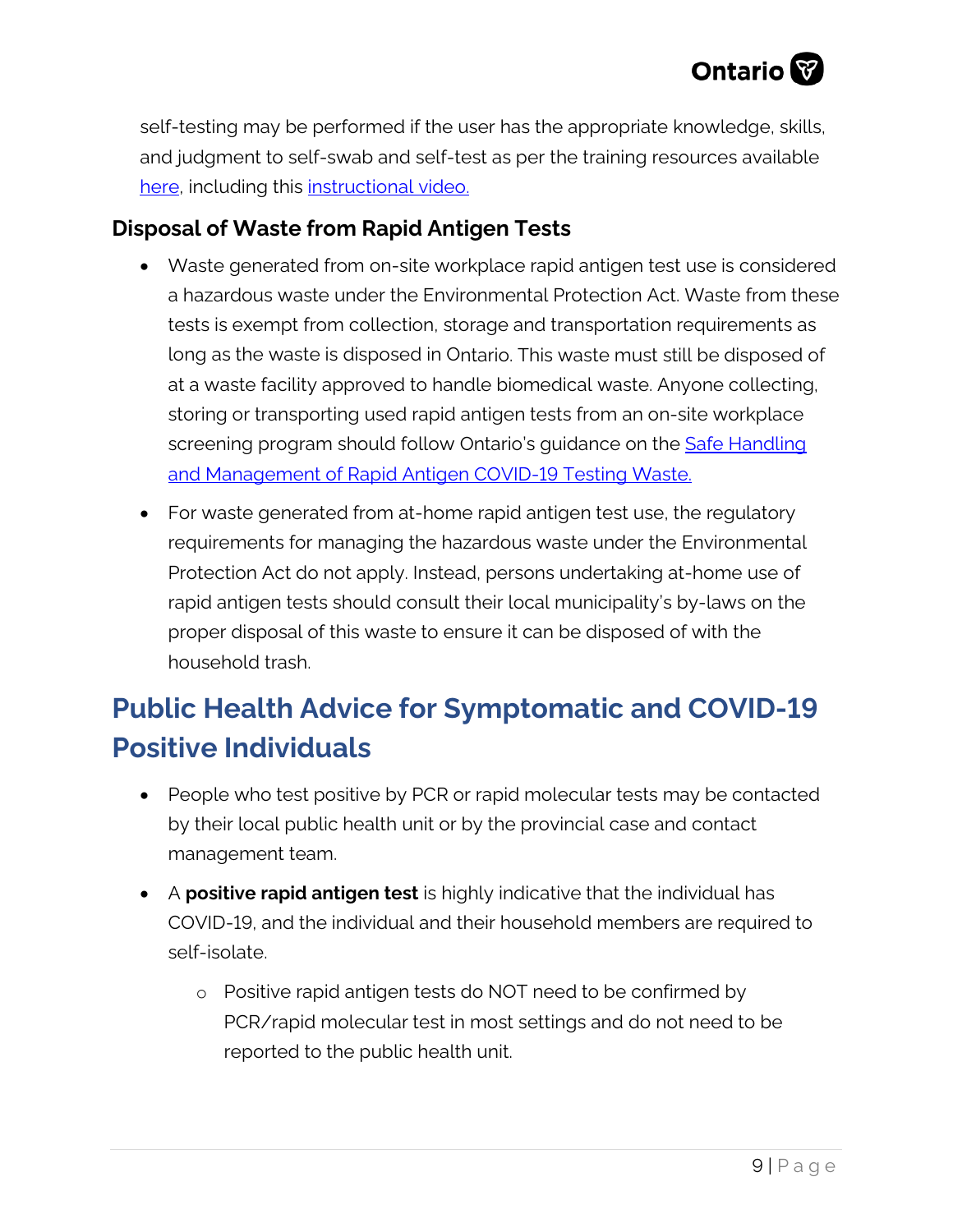self-testing may be performed if the user has the appropriate knowledge, skills, and judgment to self-swab and self-test as per the training resources available [here,](https://www.ontariohealth.ca/COVID-19/Health-System-Response-Resources) including this [instructional video.](https://www.youtube.com/watch?v=CBBd4JRWTsg)

### **Disposal of Waste from Rapid Antigen Tests**

- Waste generated from on-site workplace rapid antigen test use is considered a hazardous waste under the Environmental Protection Act. Waste from these tests is exempt from collection, storage and transportation requirements as long as the waste is disposed in Ontario. This waste must still be disposed of at a waste facility approved to handle biomedical waste. Anyone collecting, storing or transporting used rapid antigen tests from an on-site workplace screening program should follow Ontario's guidance on the **Safe Handling** [and Management of Rapid Antigen COVID-19 Testing Waste.](https://www.ontario.ca/page/safe-handling-and-management-rapid-antigen-covid-19-testing-waste)
- For waste generated from at-home rapid antigen test use, the regulatory requirements for managing the hazardous waste under the Environmental Protection Act do not apply. Instead, persons undertaking at-home use of rapid antigen tests should consult their local municipality's by-laws on the proper disposal of this waste to ensure it can be disposed of with the household trash.

# <span id="page-8-0"></span>**Public Health Advice for Symptomatic and COVID-19 Positive Individuals**

- People who test positive by PCR or rapid molecular tests may be contacted by their local public health unit or by the provincial case and contact management team.
- A **positive rapid antigen test** is highly indicative that the individual has COVID-19, and the individual and their household members are required to self-isolate.
	- o Positive rapid antigen tests do NOT need to be confirmed by PCR/rapid molecular test in most settings and do not need to be reported to the public health unit.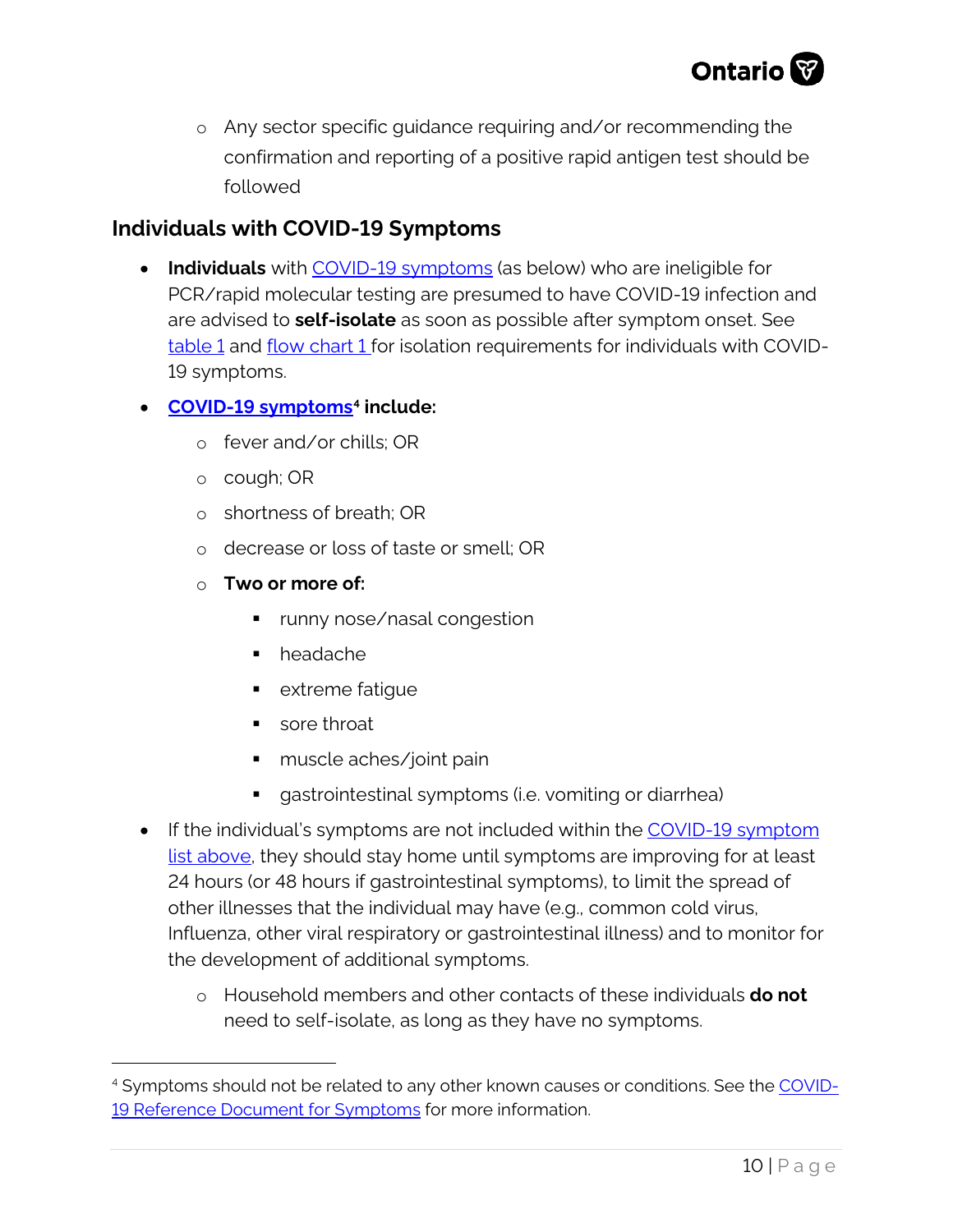

o Any sector specific guidance requiring and/or recommending the confirmation and reporting of a positive rapid antigen test should be followed

### <span id="page-9-0"></span>**Individuals with COVID-19 Symptoms**

- **Individuals** with [COVID-19 symptoms](https://www.health.gov.on.ca/en/pro/programs/publichealth/coronavirus/docs/2019_reference_doc_symptoms.pdf) (as below) who are ineligible for PCR/rapid molecular testing are presumed to have COVID-19 infection and are advised to **self-isolate** as soon as possible after symptom onset. See [table 1](#page-10-1) and [flow chart 1](#page-18-0) for isolation requirements for individuals with COVID-19 symptoms.
- **[COVID-19 symptoms](https://www.health.gov.on.ca/en/pro/programs/publichealth/coronavirus/docs/2019_reference_doc_symptoms.pdf)[4](#page-9-1) include:**
	- o fever and/or chills; OR
	- o cough; OR
	- o shortness of breath; OR
	- o decrease or loss of taste or smell; OR
	- o **Two or more of:**
		- **F** runny nose/nasal congestion
		- **•** headache
		- **EXTERE** fatigue
		- sore throat
		- muscle aches/joint pain
		- gastrointestinal symptoms (i.e. vomiting or diarrhea)
- If the individual's symptoms are not included within the COVID-19 symptom [list](https://www.health.gov.on.ca/en/pro/programs/publichealth/coronavirus/docs/2019_reference_doc_symptoms.pdf) above, they should stay home until symptoms are improving for at least 24 hours (or 48 hours if gastrointestinal symptoms), to limit the spread of other illnesses that the individual may have (e.g., common cold virus, Influenza, other viral respiratory or gastrointestinal illness) and to monitor for the development of additional symptoms.
	- o Household members and other contacts of these individuals **do not** need to self-isolate, as long as they have no symptoms.

<span id="page-9-1"></span><sup>&</sup>lt;sup>4</sup> Symptoms should not be related to any other known causes or conditions. See th[e COVID-](https://www.health.gov.on.ca/en/pro/programs/publichealth/coronavirus/docs/2019_reference_doc_symptoms.pdf)[19 Reference Document for Symptoms](https://www.health.gov.on.ca/en/pro/programs/publichealth/coronavirus/docs/2019_reference_doc_symptoms.pdf) for more information.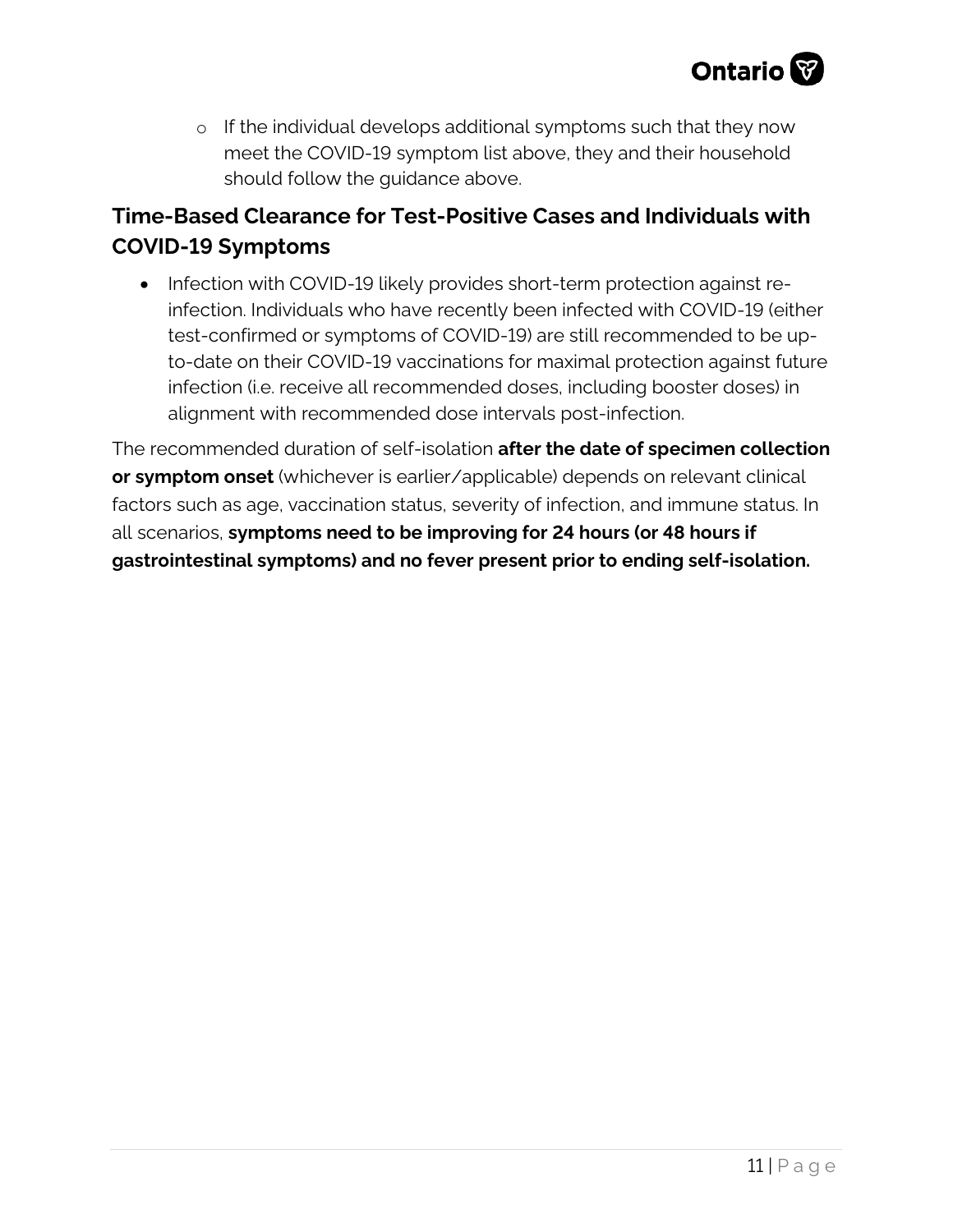<span id="page-10-1"></span>

o If the individual develops additional symptoms such that they now meet the COVID-19 symptom list above, they and their household should follow the guidance above.

### <span id="page-10-0"></span>**Time-Based Clearance for Test-Positive Cases and Individuals with COVID-19 Symptoms**

• Infection with COVID-19 likely provides short-term protection against reinfection. Individuals who have recently been infected with COVID-19 (either test-confirmed or symptoms of COVID-19) are still recommended to be upto-date on their COVID-19 vaccinations for maximal protection against future infection (i.e. receive all recommended doses, including booster doses) in alignment with recommended dose intervals post-infection.

The recommended duration of self-isolation **after the date of specimen collection or symptom onset** (whichever is earlier/applicable) depends on relevant clinical factors such as age, vaccination status, severity of infection, and immune status. In all scenarios, **symptoms need to be improving for 24 hours (or 48 hours if gastrointestinal symptoms) and no fever present prior to ending self-isolation.**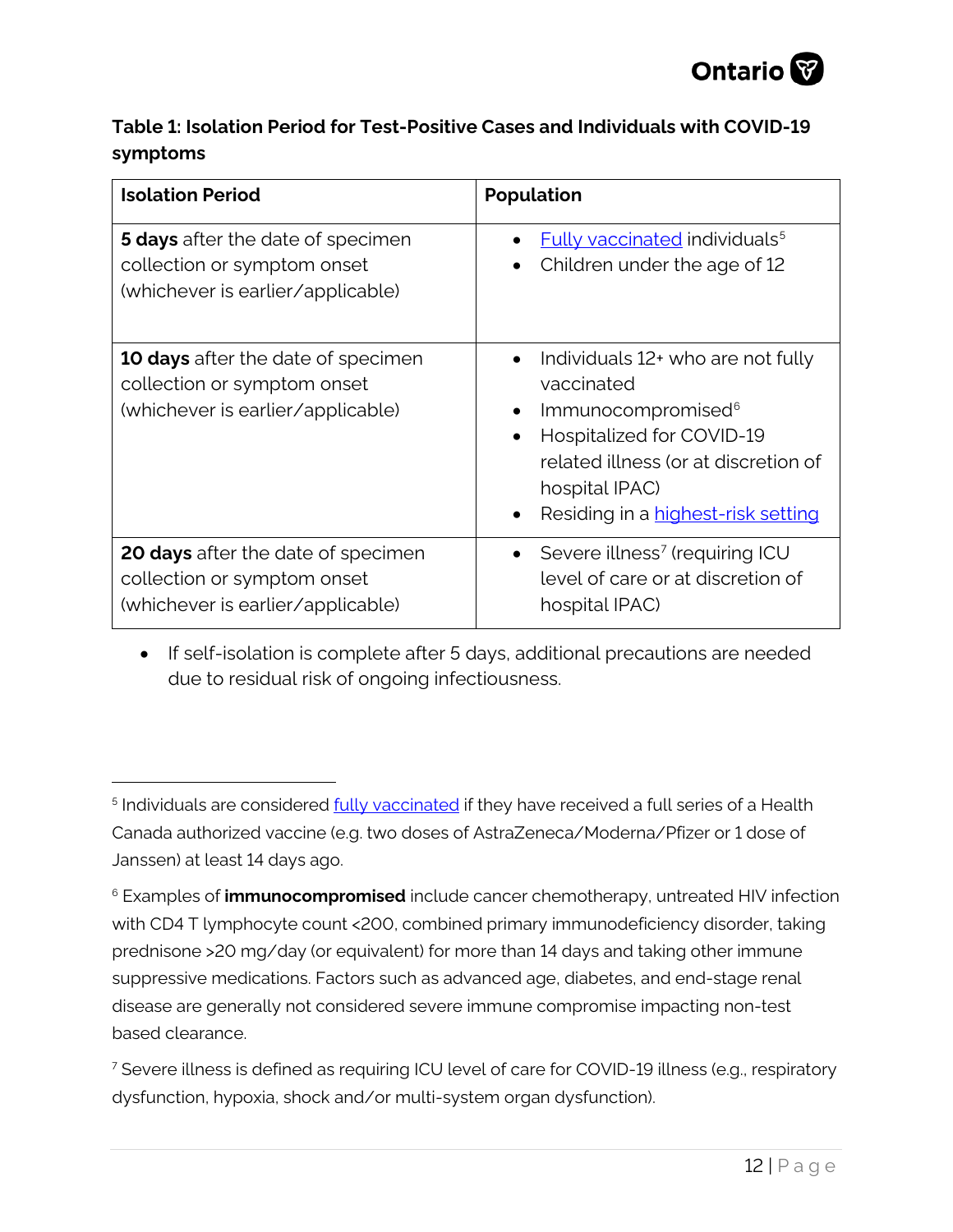

#### <span id="page-11-0"></span>**Table 1: Isolation Period for Test-Positive Cases and Individuals with COVID-19 symptoms**

| <b>Isolation Period</b>                                                                                | Population                                                                                                                                                                                                                                                         |
|--------------------------------------------------------------------------------------------------------|--------------------------------------------------------------------------------------------------------------------------------------------------------------------------------------------------------------------------------------------------------------------|
| <b>5 days</b> after the date of specimen                                                               | <b>Fully vaccinated individuals<sup>5</sup></b>                                                                                                                                                                                                                    |
| collection or symptom onset                                                                            | Children under the age of 12                                                                                                                                                                                                                                       |
| (whichever is earlier/applicable)                                                                      | $\bullet$                                                                                                                                                                                                                                                          |
| 10 days after the date of specimen<br>collection or symptom onset<br>(whichever is earlier/applicable) | Individuals 12+ who are not fully<br>$\bullet$<br>vaccinated<br>Immunocompromised <sup>6</sup><br>$\bullet$<br>Hospitalized for COVID-19<br>$\bullet$<br>related illness (or at discretion of<br>hospital IPAC)<br>Residing in a highest-risk setting<br>$\bullet$ |
| <b>20 days</b> after the date of specimen                                                              | • Severe illness <sup>7</sup> (requiring ICU                                                                                                                                                                                                                       |
| collection or symptom onset                                                                            | level of care or at discretion of                                                                                                                                                                                                                                  |
| (whichever is earlier/applicable)                                                                      | hospital IPAC)                                                                                                                                                                                                                                                     |

• If self-isolation is complete after 5 days, additional precautions are needed due to residual risk of ongoing infectiousness.

<span id="page-11-1"></span><sup>&</sup>lt;sup>5</sup> Individuals are considered [fully vaccinated](https://www.health.gov.on.ca/en/pro/programs/publichealth/coronavirus/docs/contact_mngmt/COVID-19_fully_vaccinated_interim_guidance.pdf#page=4) if they have received a full series of a Health Canada authorized vaccine (e.g. two doses of AstraZeneca/Moderna/Pfizer or 1 dose of Janssen) at least 14 days ago.

<span id="page-11-2"></span><sup>6</sup> Examples of **immunocompromised** include cancer chemotherapy, untreated HIV infection with CD4 T lymphocyte count <200, combined primary immunodeficiency disorder, taking prednisone >20 mg/day (or equivalent) for more than 14 days and taking other immune suppressive medications. Factors such as advanced age, diabetes, and end-stage renal disease are generally not considered severe immune compromise impacting non-test based clearance.

<span id="page-11-3"></span><sup>&</sup>lt;sup>7</sup> Severe illness is defined as requiring ICU level of care for COVID-19 illness (e.g., respiratory dysfunction, hypoxia, shock and/or multi-system organ dysfunction).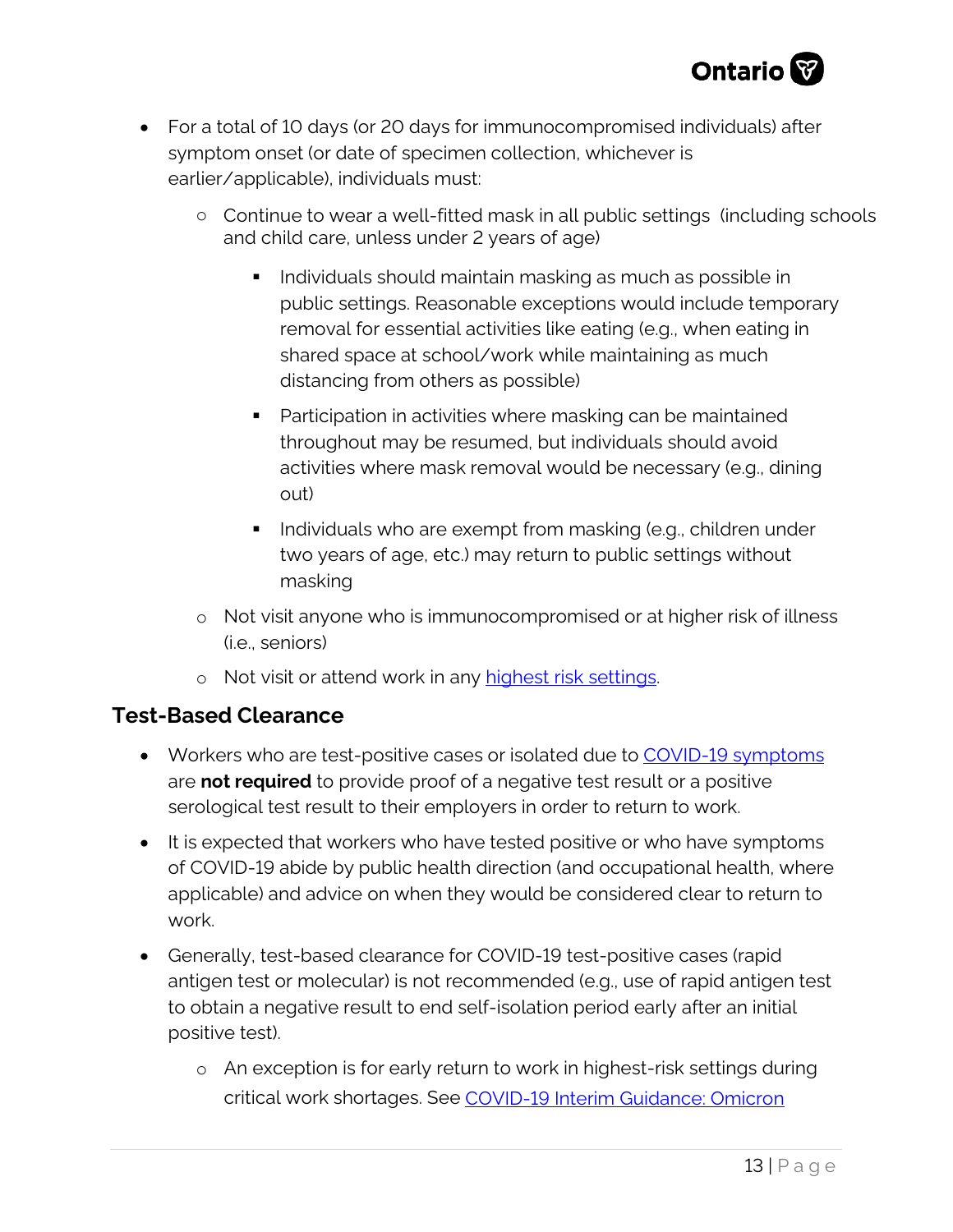

- For a total of 10 days (or 20 days for immunocompromised individuals) after symptom onset (or date of specimen collection, whichever is earlier/applicable), individuals must:
	- o Continue to wear a well-fitted mask in all public settings (including schools and child care, unless under 2 years of age)
		- Individuals should maintain masking as much as possible in public settings. Reasonable exceptions would include temporary removal for essential activities like eating (e.g., when eating in shared space at school/work while maintaining as much distancing from others as possible)
		- **Participation in activities where masking can be maintained** throughout may be resumed, but individuals should avoid activities where mask removal would be necessary (e.g., dining out)
		- **Individuals who are exempt from masking (e.g., children under** two years of age, etc.) may return to public settings without masking
	- o Not visit anyone who is immunocompromised or at higher risk of illness (i.e., seniors)
	- o Not visit or attend work in any [highest risk settings.](#page-19-1)

### <span id="page-12-0"></span>**Test-Based Clearance**

- Workers who are test-positive cases or isolated due to [COVID-19 symptoms](https://www.health.gov.on.ca/en/pro/programs/publichealth/coronavirus/docs/2019_reference_doc_symptoms.pdf) are **not required** to provide proof of a negative test result or a positive serological test result to their employers in order to return to work.
- It is expected that workers who have tested positive or who have symptoms of COVID-19 abide by public health direction (and occupational health, where applicable) and advice on when they would be considered clear to return to work.
- Generally, test-based clearance for COVID-19 test-positive cases (rapid antigen test or molecular) is not recommended (e.g., use of rapid antigen test to obtain a negative result to end self-isolation period early after an initial positive test).
	- o An exception is for early return to work in highest-risk settings during critical work shortages. See [COVID-19 Interim Guidance: Omicron](https://www.health.gov.on.ca/en/pro/programs/publichealth/coronavirus/docs/early_return%20_to_work.pdf)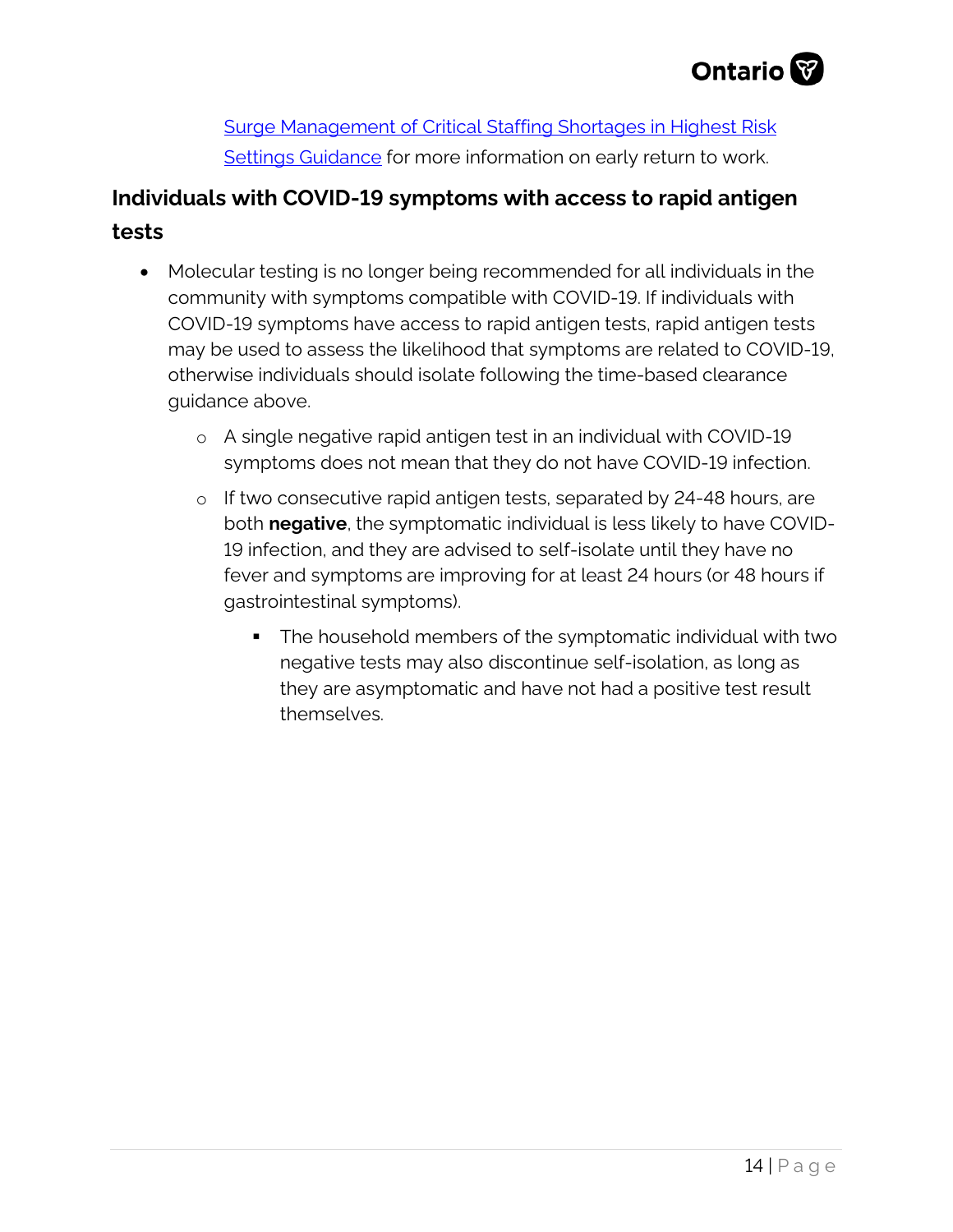

[Surge Management of Critical Staffing Shortages in Highest Risk](https://www.health.gov.on.ca/en/pro/programs/publichealth/coronavirus/docs/early_return%20_to_work.pdf)  [Settings Guidance](https://www.health.gov.on.ca/en/pro/programs/publichealth/coronavirus/docs/early_return%20_to_work.pdf) for more information on early return to work.

## <span id="page-13-0"></span>**Individuals with COVID-19 symptoms with access to rapid antigen tests**

- Molecular testing is no longer being recommended for all individuals in the community with symptoms compatible with COVID-19. If individuals with COVID-19 symptoms have access to rapid antigen tests, rapid antigen tests may be used to assess the likelihood that symptoms are related to COVID-19, otherwise individuals should isolate following the time-based clearance guidance above.
	- o A single negative rapid antigen test in an individual with COVID-19 symptoms does not mean that they do not have COVID-19 infection.
	- o If two consecutive rapid antigen tests, separated by 24-48 hours, are both **negative**, the symptomatic individual is less likely to have COVID-19 infection, and they are advised to self-isolate until they have no fever and symptoms are improving for at least 24 hours (or 48 hours if gastrointestinal symptoms).
		- The household members of the symptomatic individual with two negative tests may also discontinue self-isolation, as long as they are asymptomatic and have not had a positive test result themselves.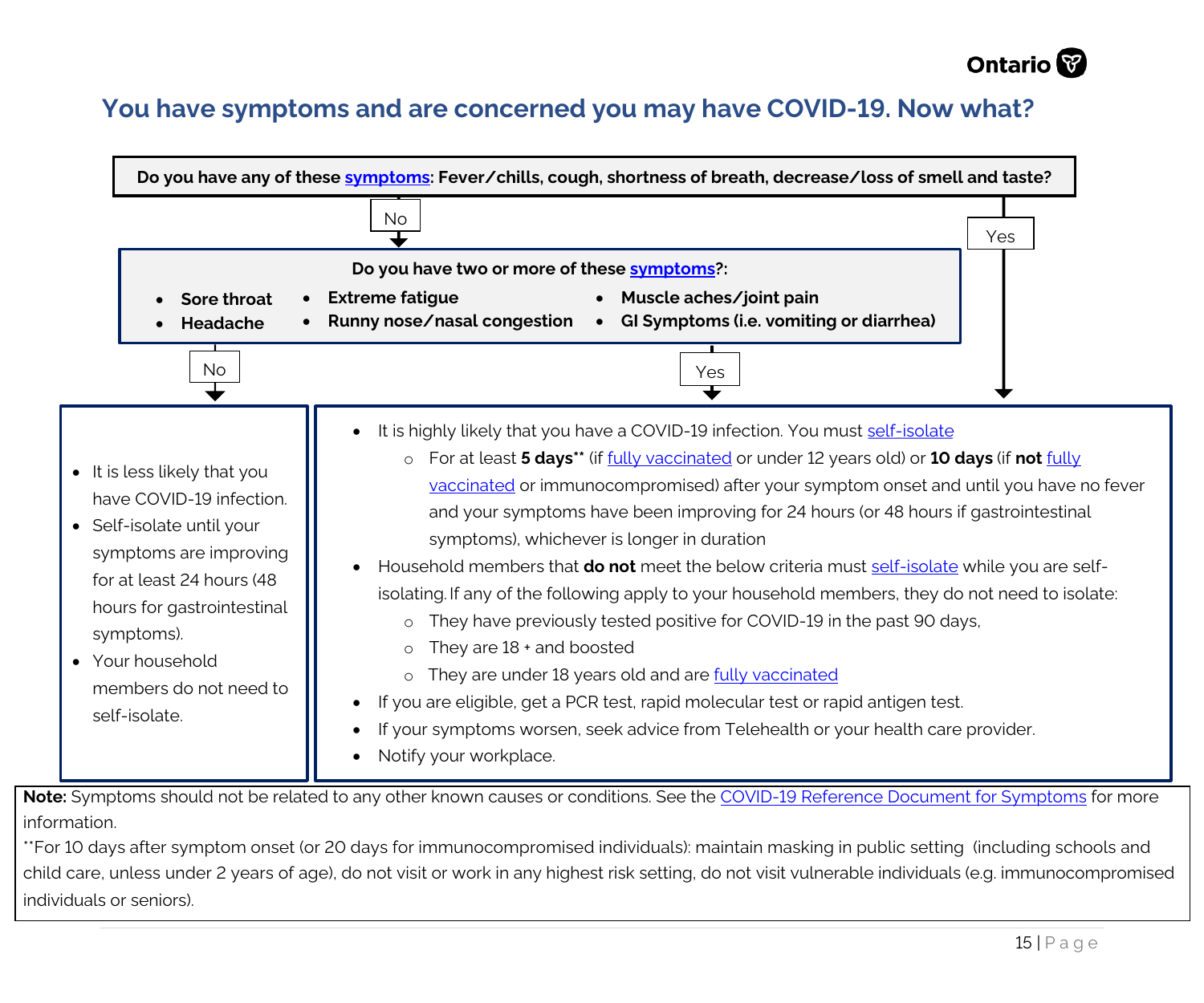# **You have symptoms and are concerned you may have COVID-19. Now what?**

<span id="page-14-0"></span>

**Note:** Symptoms should not be related to any other known causes or conditions. See the [COVID-19 Reference Document for Symptoms](https://www.health.gov.on.ca/en/pro/programs/publichealth/coronavirus/docs/2019_reference_doc_symptoms.pdf) for more information.

\*\*For 10 days after symptom onset (or 20 days for immunocompromised individuals): maintain masking in public setting (including schools and child care, unless under 2 years of age), do not visit or work in any highest risk setting, do not visit vulnerable individuals (e.g. immunocompromised individuals or seniors).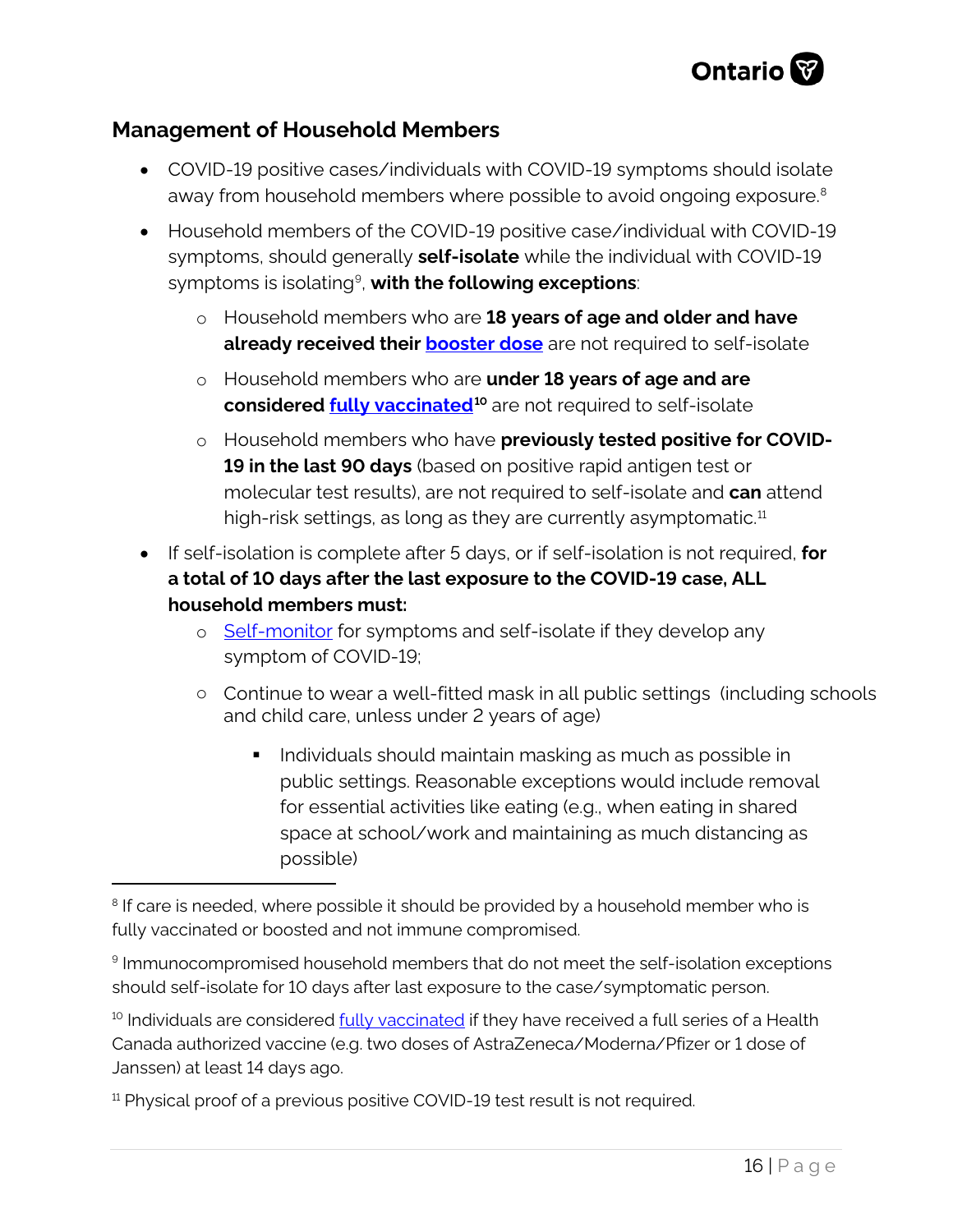

#### <span id="page-15-0"></span>**Management of Household Members**

- COVID-19 positive cases/individuals with COVID-19 symptoms should isolate away from household members where possible to avoid ongoing exposure.<sup>[8](#page-15-1)</sup>
- Household members of the COVID-19 positive case/individual with COVID-19 symptoms, should generally **self-isolate** while the individual with COVID-19 symptoms is isolating[9](#page-15-2), **with the following exceptions**:
	- o Household members who are **18 years of age and older and have already received their [booster dose](https://www.health.gov.on.ca/en/pro/programs/publichealth/coronavirus/docs/vaccine/COVID-19_vaccine_third_dose_recommendations.pdf)** are not required to self-isolate
	- **[fully vaccinated](https://www.health.gov.on.ca/en/pro/programs/publichealth/coronavirus/docs/contact_mngmt/COVID-19_fully_vaccinated_interim_guidance.pdf#page=4)[10](#page-15-3)** are not required to self-isolate **considered** o Household members who are **under 18 years of age and are**
	- o Household members who have **previously tested positive for COVID-19 in the last 90 days** (based on positive rapid antigen test or molecular test results), are not required to self-isolate and **can** attend high-risk settings, as long as they are currently asymptomatic.<sup>[11](#page-15-4)</sup>
- If self-isolation is complete after 5 days, or if self-isolation is not required, **for a total of 10 days after the last exposure to the COVID-19 case, ALL household members must:**
	- o [Self-monitor](https://www.publichealthontario.ca/-/media/documents/ncov/factsheet-covid-19-self-monitor.pdf?la=en) for symptoms and self-isolate if they develop any symptom of COVID-19;
	- o Continue to wear a well-fitted mask in all public settings (including schools and child care, unless under 2 years of age)
		- **IF Individuals should maintain masking as much as possible in** public settings. Reasonable exceptions would include removal for essential activities like eating (e.g., when eating in shared space at school/work and maintaining as much distancing as possible)

<span id="page-15-2"></span><sup>9</sup> Immunocompromised household members that do not meet the self-isolation exceptions should self-isolate for 10 days after last exposure to the case/symptomatic person.

<span id="page-15-3"></span><sup>10</sup> Individuals are considered [fully vaccinated](https://www.health.gov.on.ca/en/pro/programs/publichealth/coronavirus/docs/contact_mngmt/COVID-19_fully_vaccinated_interim_guidance.pdf#page=4) if they have received a full series of a Health Canada authorized vaccine (e.g. two doses of AstraZeneca/Moderna/Pfizer or 1 dose of Janssen) at least 14 days ago.

<span id="page-15-4"></span><sup>11</sup> Physical proof of a previous positive COVID-19 test result is not required.

<span id="page-15-1"></span><sup>&</sup>lt;sup>8</sup> If care is needed, where possible it should be provided by a household member who is fully vaccinated or boosted and not immune compromised.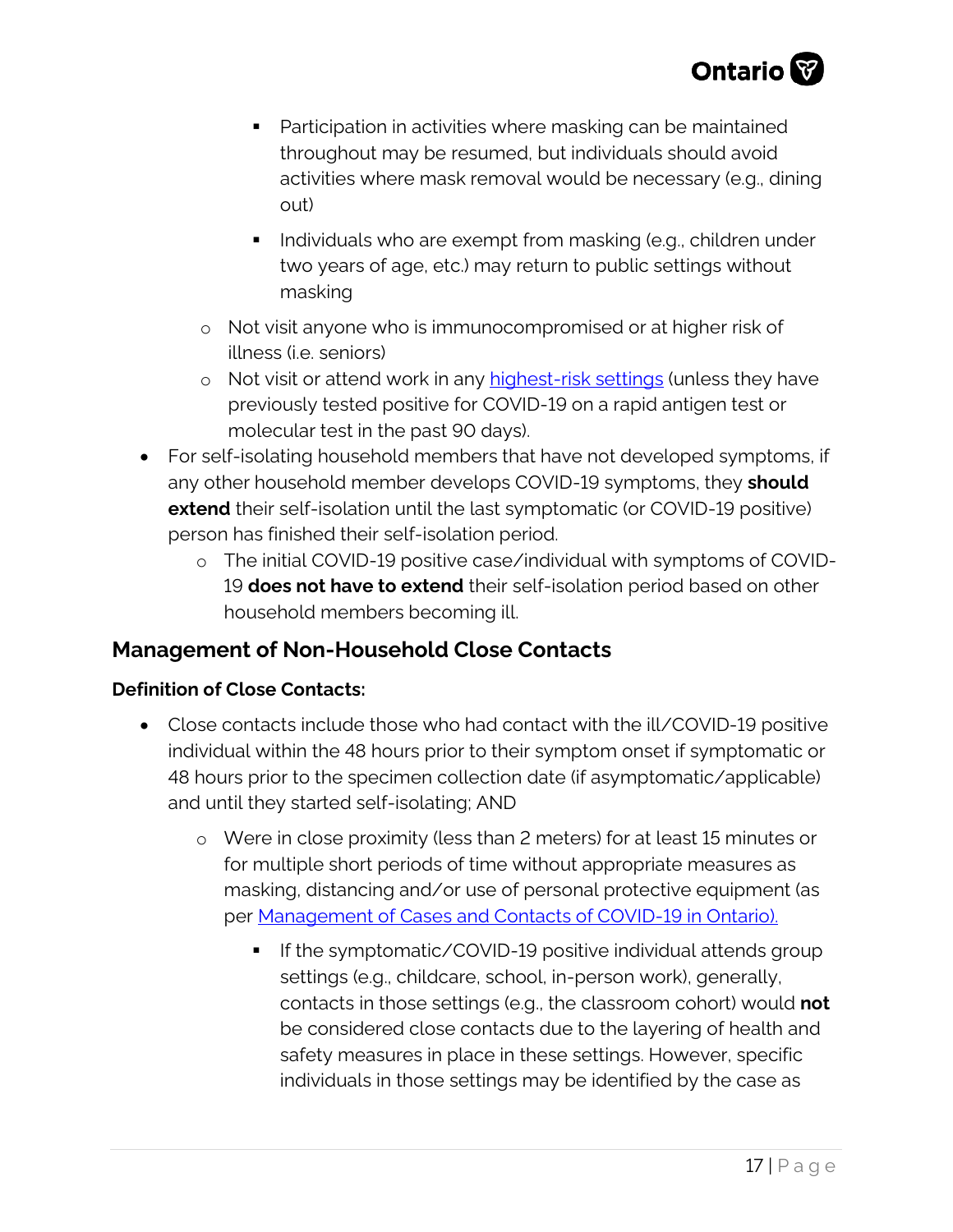

- Participation in activities where masking can be maintained throughout may be resumed, but individuals should avoid activities where mask removal would be necessary (e.g., dining out)
- Individuals who are exempt from masking (e.g., children under two years of age, etc.) may return to public settings without masking
- o Not visit anyone who is immunocompromised or at higher risk of illness (i.e. seniors)
- o Not visit or attend work in any [highest-risk settings](#page-19-1) (unless they have previously tested positive for COVID-19 on a rapid antigen test or molecular test in the past 90 days).
- For self-isolating household members that have not developed symptoms, if any other household member develops COVID-19 symptoms, they **should extend** their self-isolation until the last symptomatic (or COVID-19 positive) person has finished their self-isolation period.
	- o The initial COVID-19 positive case/individual with symptoms of COVID-19 **does not have to extend** their self-isolation period based on other household members becoming ill.

### <span id="page-16-0"></span>**Management of Non-Household Close Contacts**

#### **Definition of Close Contacts:**

- Close contacts include those who had contact with the ill/COVID-19 positive individual within the 48 hours prior to their symptom onset if symptomatic or 48 hours prior to the specimen collection date (if asymptomatic/applicable) and until they started self-isolating; AND
	- o Were in close proximity (less than 2 meters) for at least 15 minutes or for multiple short periods of time without appropriate measures as masking, distancing and/or use of personal protective equipment (as per [Management of Cases and Contacts of COVID-19 in Ontario\)](https://www.health.gov.on.ca/en/pro/programs/publichealth/coronavirus/docs/contact_mngmt/management_cases_contacts.pdf#page=35).
		- If the symptomatic/COVID-19 positive individual attends group settings (e.g., childcare, school, in-person work), generally, contacts in those settings (e.g., the classroom cohort) would **not** be considered close contacts due to the layering of health and safety measures in place in these settings. However, specific individuals in those settings may be identified by the case as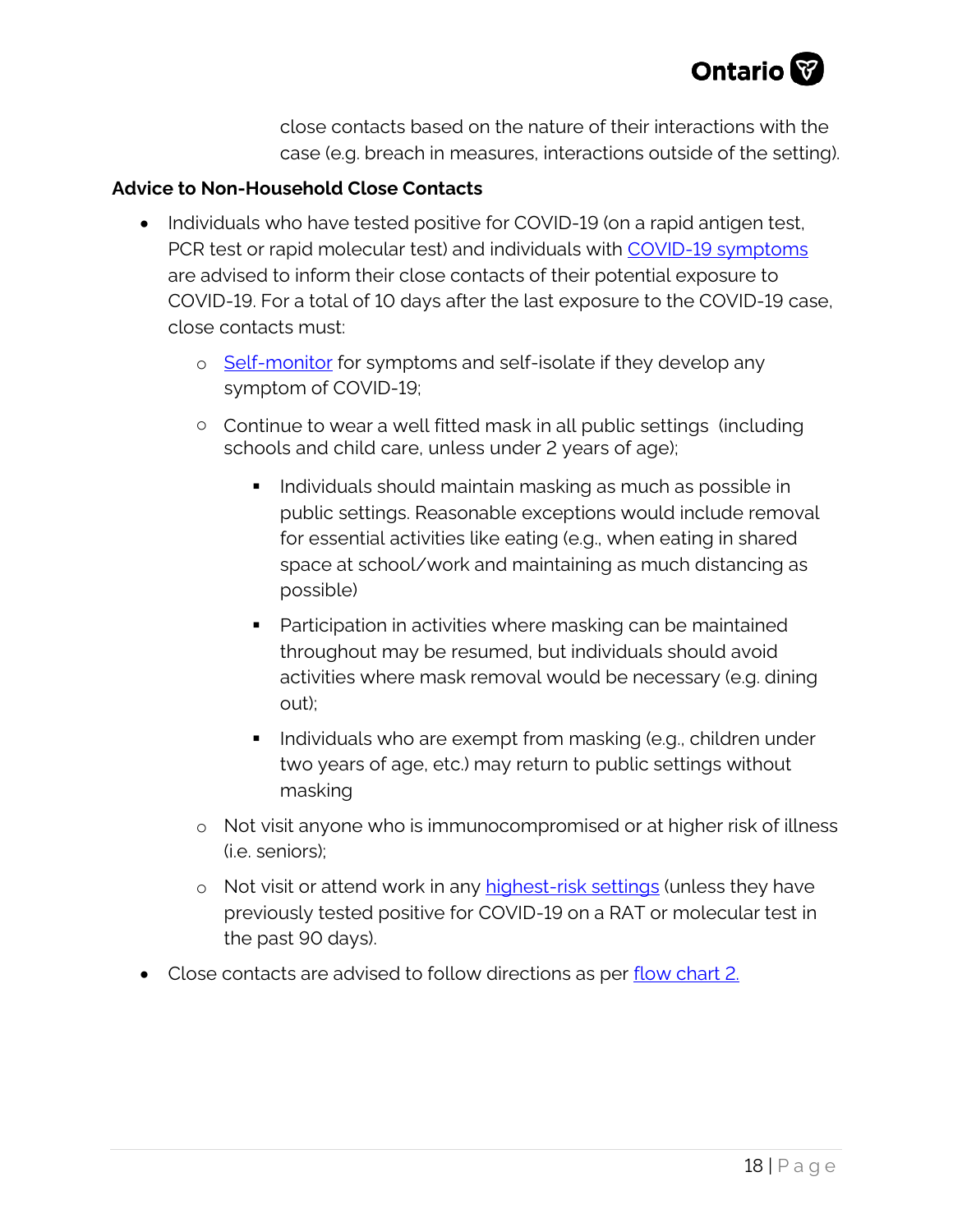

close contacts based on the nature of their interactions with the case (e.g. breach in measures, interactions outside of the setting).

#### **Advice to Non-Household Close Contacts**

- Individuals who have tested positive for COVID-19 (on a rapid antigen test, PCR test or rapid molecular test) and individuals with [COVID-19 symptoms](https://www.health.gov.on.ca/en/pro/programs/publichealth/coronavirus/docs/2019_reference_doc_symptoms.pdf) are advised to inform their close contacts of their potential exposure to COVID-19. For a total of 10 days after the last exposure to the COVID-19 case, close contacts must:
	- o [Self-monitor](https://www.publichealthontario.ca/-/media/documents/ncov/factsheet-covid-19-self-monitor.pdf?la=en) for symptoms and self-isolate if they develop any symptom of COVID-19;
	- o Continue to wear a well fitted mask in all public settings (including schools and child care, unless under 2 years of age);
		- Individuals should maintain masking as much as possible in public settings. Reasonable exceptions would include removal for essential activities like eating (e.g., when eating in shared space at school/work and maintaining as much distancing as possible)
		- **Participation in activities where masking can be maintained** throughout may be resumed, but individuals should avoid activities where mask removal would be necessary (e.g. dining out);
		- Individuals who are exempt from masking (e.g., children under two years of age, etc.) may return to public settings without masking
	- o Not visit anyone who is immunocompromised or at higher risk of illness (i.e. seniors);
	- o Not visit or attend work in any [highest-risk settings](#page-19-1) (unless they have previously tested positive for COVID-19 on a RAT or molecular test in the past 90 days).
- Close contacts are advised to follow directions as per [flow chart 2.](#page-18-0)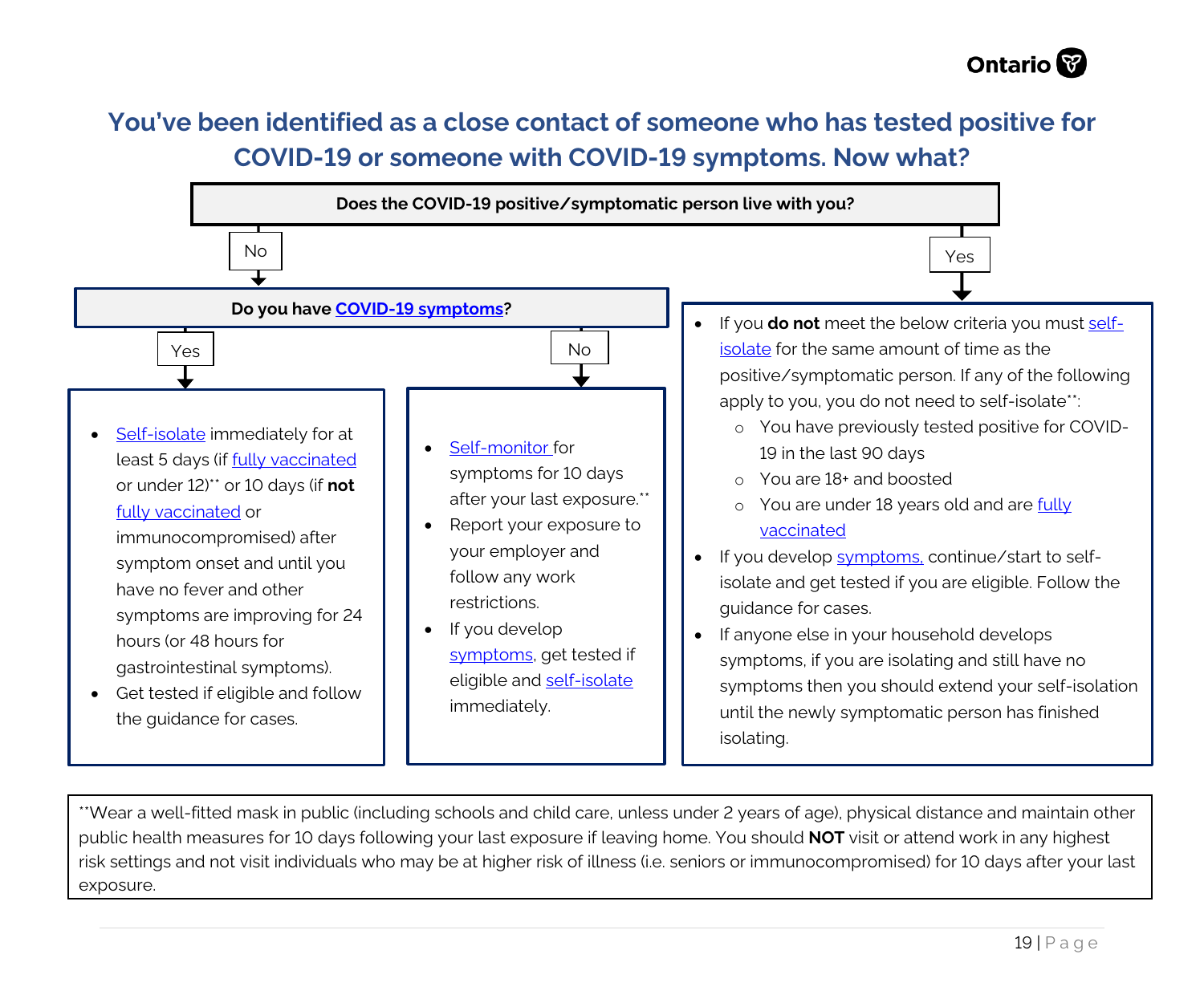# **You've been identified as a close contact of someone who has tested positive for COVID-19 or someone with COVID-19 symptoms. Now what?**

<span id="page-18-0"></span>

\*\*Wear a well-fitted mask in public (including schools and child care, unless under 2 years of age), physical distance and maintain other public health measures for 10 days following your last exposure if leaving home. You should **NOT** visit or attend work in any highest risk settings and not visit individuals who may be at higher risk of illness (i.e. seniors or immunocompromised) for 10 days after your last exposure.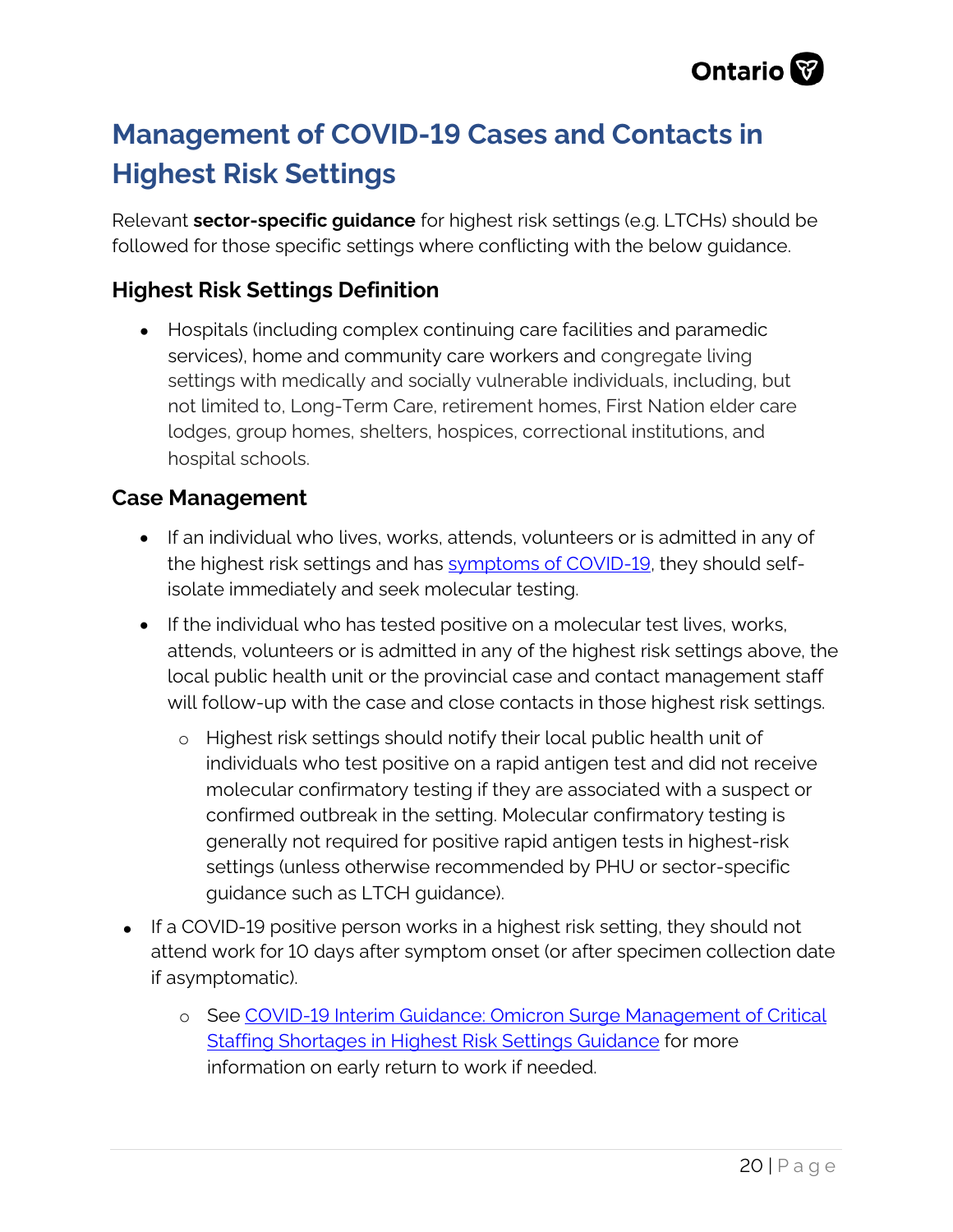

# <span id="page-19-0"></span>**Management of COVID-19 Cases and Contacts in Highest Risk Settings**

Relevant **sector-specific guidance** for highest risk settings (e.g. LTCHs) should be followed for those specific settings where conflicting with the below guidance.

### <span id="page-19-1"></span>**Highest Risk Settings Definition**

• Hospitals (including complex continuing care facilities and paramedic services), home and community care workers and congregate living settings with medically and socially vulnerable individuals, including, but not limited to, Long-Term Care, retirement homes, First Nation elder care lodges, group homes, shelters, hospices, correctional institutions, and hospital schools.

#### <span id="page-19-2"></span>**Case Management**

- If an individual who lives, works, attends, volunteers or is admitted in any of the highest risk settings and has symptoms [of COVID-19,](https://www.health.gov.on.ca/en/pro/programs/publichealth/coronavirus/docs/2019_reference_doc_symptoms.pdf) they should selfisolate immediately and seek molecular testing.
- If the individual who has tested positive on a molecular test lives, works, attends, volunteers or is admitted in any of the highest risk settings above, the local public health unit or the provincial case and contact management staff will follow-up with the case and close contacts in those highest risk settings.
	- o Highest risk settings should notify their local public health unit of individuals who test positive on a rapid antigen test and did not receive molecular confirmatory testing if they are associated with a suspect or confirmed outbreak in the setting. Molecular confirmatory testing is generally not required for positive rapid antigen tests in highest-risk settings (unless otherwise recommended by PHU or sector-specific guidance such as LTCH guidance).
- If a COVID-19 positive person works in a highest risk setting, they should not attend work for 10 days after symptom onset (or after specimen collection date if asymptomatic).
	- o See [COVID-19 Interim Guidance: Omicron Surge Management of Critical](https://www.health.gov.on.ca/en/pro/programs/publichealth/coronavirus/docs/early_return%20_to_work.pdf) [Staffing Shortages in Highest Risk Settings Guidance](https://www.health.gov.on.ca/en/pro/programs/publichealth/coronavirus/docs/early_return%20_to_work.pdf) for more information on early return to work if needed.